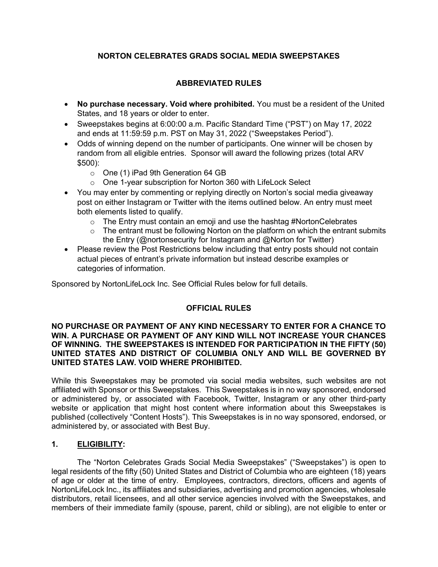## NORTON CELEBRATES GRADS SOCIAL MEDIA SWEEPSTAKES

# ABBREVIATED RULES

- No purchase necessary. Void where prohibited. You must be a resident of the United States, and 18 years or older to enter.
- Sweepstakes begins at 6:00:00 a.m. Pacific Standard Time ("PST") on May 17, 2022 and ends at 11:59:59 p.m. PST on May 31, 2022 ("Sweepstakes Period").
- Odds of winning depend on the number of participants. One winner will be chosen by random from all eligible entries. Sponsor will award the following prizes (total ARV \$500):
	- o One (1) iPad 9th Generation 64 GB
	- o One 1-year subscription for Norton 360 with LifeLock Select
- You may enter by commenting or replying directly on Norton's social media giveaway post on either Instagram or Twitter with the items outlined below. An entry must meet both elements listed to qualify.
	- o The Entry must contain an emoji and use the hashtag #NortonCelebrates
	- $\circ$  The entrant must be following Norton on the platform on which the entrant submits the Entry (@nortonsecurity for Instagram and @Norton for Twitter)
- Please review the Post Restrictions below including that entry posts should not contain actual pieces of entrant's private information but instead describe examples or categories of information.

Sponsored by NortonLifeLock Inc. See Official Rules below for full details.

## OFFICIAL RULES

#### NO PURCHASE OR PAYMENT OF ANY KIND NECESSARY TO ENTER FOR A CHANCE TO WIN. A PURCHASE OR PAYMENT OF ANY KIND WILL NOT INCREASE YOUR CHANCES OF WINNING. THE SWEEPSTAKES IS INTENDED FOR PARTICIPATION IN THE FIFTY (50) UNITED STATES AND DISTRICT OF COLUMBIA ONLY AND WILL BE GOVERNED BY UNITED STATES LAW. VOID WHERE PROHIBITED.

While this Sweepstakes may be promoted via social media websites, such websites are not affiliated with Sponsor or this Sweepstakes. This Sweepstakes is in no way sponsored, endorsed or administered by, or associated with Facebook, Twitter, Instagram or any other third-party website or application that might host content where information about this Sweepstakes is published (collectively "Content Hosts"). This Sweepstakes is in no way sponsored, endorsed, or administered by, or associated with Best Buy.

## 1. ELIGIBILITY:

The "Norton Celebrates Grads Social Media Sweepstakes" ("Sweepstakes") is open to legal residents of the fifty (50) United States and District of Columbia who are eighteen (18) years of age or older at the time of entry. Employees, contractors, directors, officers and agents of NortonLifeLock Inc., its affiliates and subsidiaries, advertising and promotion agencies, wholesale distributors, retail licensees, and all other service agencies involved with the Sweepstakes, and members of their immediate family (spouse, parent, child or sibling), are not eligible to enter or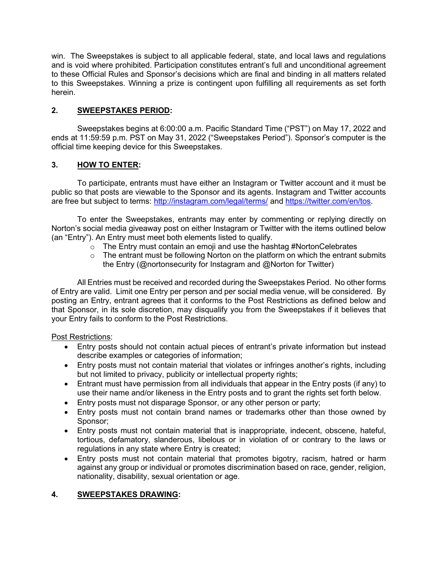win. The Sweepstakes is subject to all applicable federal, state, and local laws and regulations and is void where prohibited. Participation constitutes entrant's full and unconditional agreement to these Official Rules and Sponsor's decisions which are final and binding in all matters related to this Sweepstakes. Winning a prize is contingent upon fulfilling all requirements as set forth herein.

# 2. SWEEPSTAKES PERIOD:

Sweepstakes begins at 6:00:00 a.m. Pacific Standard Time ("PST") on May 17, 2022 and ends at 11:59:59 p.m. PST on May 31, 2022 ("Sweepstakes Period"). Sponsor's computer is the official time keeping device for this Sweepstakes.

# 3. HOW TO ENTER:

To participate, entrants must have either an Instagram or Twitter account and it must be public so that posts are viewable to the Sponsor and its agents. Instagram and Twitter accounts are free but subject to terms: http://instagram.com/legal/terms/ and https://twitter.com/en/tos.

To enter the Sweepstakes, entrants may enter by commenting or replying directly on Norton's social media giveaway post on either Instagram or Twitter with the items outlined below (an "Entry"). An Entry must meet both elements listed to qualify.

- o The Entry must contain an emoji and use the hashtag #NortonCelebrates
- $\circ$  The entrant must be following Norton on the platform on which the entrant submits the Entry (@nortonsecurity for Instagram and @Norton for Twitter)

All Entries must be received and recorded during the Sweepstakes Period. No other forms of Entry are valid. Limit one Entry per person and per social media venue, will be considered. By posting an Entry, entrant agrees that it conforms to the Post Restrictions as defined below and that Sponsor, in its sole discretion, may disqualify you from the Sweepstakes if it believes that your Entry fails to conform to the Post Restrictions.

## Post Restrictions:

- Entry posts should not contain actual pieces of entrant's private information but instead describe examples or categories of information;
- Entry posts must not contain material that violates or infringes another's rights, including but not limited to privacy, publicity or intellectual property rights;
- Entrant must have permission from all individuals that appear in the Entry posts (if any) to use their name and/or likeness in the Entry posts and to grant the rights set forth below.
- Entry posts must not disparage Sponsor, or any other person or party;
- Entry posts must not contain brand names or trademarks other than those owned by Sponsor;
- Entry posts must not contain material that is inappropriate, indecent, obscene, hateful, tortious, defamatory, slanderous, libelous or in violation of or contrary to the laws or regulations in any state where Entry is created;
- Entry posts must not contain material that promotes bigotry, racism, hatred or harm against any group or individual or promotes discrimination based on race, gender, religion, nationality, disability, sexual orientation or age.

# 4. SWEEPSTAKES DRAWING: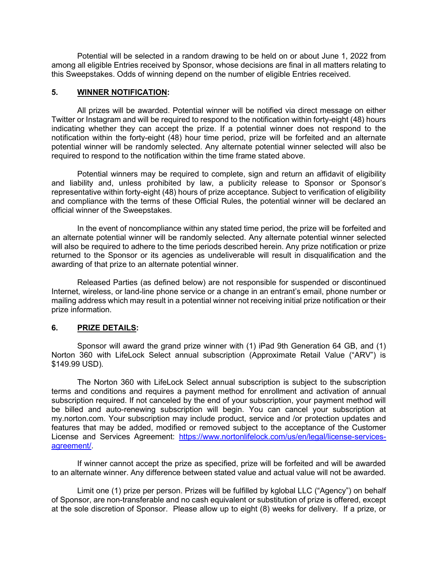Potential will be selected in a random drawing to be held on or about June 1, 2022 from among all eligible Entries received by Sponsor, whose decisions are final in all matters relating to this Sweepstakes. Odds of winning depend on the number of eligible Entries received.

#### 5. WINNER NOTIFICATION:

All prizes will be awarded. Potential winner will be notified via direct message on either Twitter or Instagram and will be required to respond to the notification within forty-eight (48) hours indicating whether they can accept the prize. If a potential winner does not respond to the notification within the forty-eight (48) hour time period, prize will be forfeited and an alternate potential winner will be randomly selected. Any alternate potential winner selected will also be required to respond to the notification within the time frame stated above.

Potential winners may be required to complete, sign and return an affidavit of eligibility and liability and, unless prohibited by law, a publicity release to Sponsor or Sponsor's representative within forty-eight (48) hours of prize acceptance. Subject to verification of eligibility and compliance with the terms of these Official Rules, the potential winner will be declared an official winner of the Sweepstakes.

 In the event of noncompliance within any stated time period, the prize will be forfeited and an alternate potential winner will be randomly selected. Any alternate potential winner selected will also be required to adhere to the time periods described herein. Any prize notification or prize returned to the Sponsor or its agencies as undeliverable will result in disqualification and the awarding of that prize to an alternate potential winner.

 Released Parties (as defined below) are not responsible for suspended or discontinued Internet, wireless, or land-line phone service or a change in an entrant's email, phone number or mailing address which may result in a potential winner not receiving initial prize notification or their prize information.

#### 6. PRIZE DETAILS:

 Sponsor will award the grand prize winner with (1) iPad 9th Generation 64 GB, and (1) Norton 360 with LifeLock Select annual subscription (Approximate Retail Value ("ARV") is \$149.99 USD).

 The Norton 360 with LifeLock Select annual subscription is subject to the subscription terms and conditions and requires a payment method for enrollment and activation of annual subscription required. If not canceled by the end of your subscription, your payment method will be billed and auto-renewing subscription will begin. You can cancel your subscription at my.norton.com. Your subscription may include product, service and /or protection updates and features that may be added, modified or removed subject to the acceptance of the Customer License and Services Agreement: https://www.nortonlifelock.com/us/en/legal/license-servicesagreement/.

If winner cannot accept the prize as specified, prize will be forfeited and will be awarded to an alternate winner. Any difference between stated value and actual value will not be awarded.

Limit one (1) prize per person. Prizes will be fulfilled by kglobal LLC ("Agency") on behalf of Sponsor, are non-transferable and no cash equivalent or substitution of prize is offered, except at the sole discretion of Sponsor. Please allow up to eight (8) weeks for delivery. If a prize, or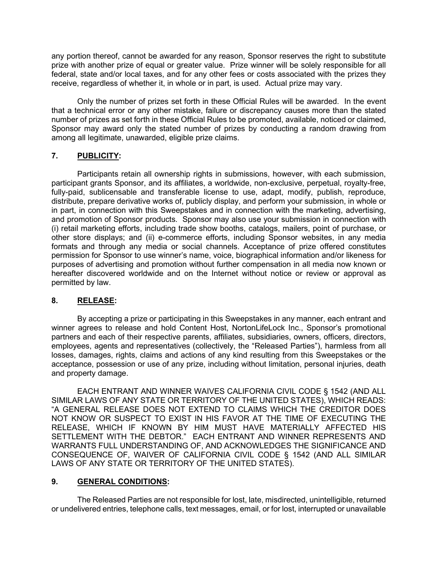any portion thereof, cannot be awarded for any reason, Sponsor reserves the right to substitute prize with another prize of equal or greater value. Prize winner will be solely responsible for all federal, state and/or local taxes, and for any other fees or costs associated with the prizes they receive, regardless of whether it, in whole or in part, is used. Actual prize may vary.

Only the number of prizes set forth in these Official Rules will be awarded. In the event that a technical error or any other mistake, failure or discrepancy causes more than the stated number of prizes as set forth in these Official Rules to be promoted, available, noticed or claimed, Sponsor may award only the stated number of prizes by conducting a random drawing from among all legitimate, unawarded, eligible prize claims.

## 7. PUBLICITY:

Participants retain all ownership rights in submissions, however, with each submission, participant grants Sponsor, and its affiliates, a worldwide, non-exclusive, perpetual, royalty-free, fully-paid, sublicensable and transferable license to use, adapt, modify, publish, reproduce, distribute, prepare derivative works of, publicly display, and perform your submission, in whole or in part, in connection with this Sweepstakes and in connection with the marketing, advertising, and promotion of Sponsor products. Sponsor may also use your submission in connection with (i) retail marketing efforts, including trade show booths, catalogs, mailers, point of purchase, or other store displays; and (ii) e-commerce efforts, including Sponsor websites, in any media formats and through any media or social channels. Acceptance of prize offered constitutes permission for Sponsor to use winner's name, voice, biographical information and/or likeness for purposes of advertising and promotion without further compensation in all media now known or hereafter discovered worldwide and on the Internet without notice or review or approval as permitted by law.

## 8. RELEASE:

By accepting a prize or participating in this Sweepstakes in any manner, each entrant and winner agrees to release and hold Content Host, NortonLifeLock Inc., Sponsor's promotional partners and each of their respective parents, affiliates, subsidiaries, owners, officers, directors, employees, agents and representatives (collectively, the "Released Parties"), harmless from all losses, damages, rights, claims and actions of any kind resulting from this Sweepstakes or the acceptance, possession or use of any prize, including without limitation, personal injuries, death and property damage.

EACH ENTRANT AND WINNER WAIVES CALIFORNIA CIVIL CODE § 1542 (AND ALL SIMILAR LAWS OF ANY STATE OR TERRITORY OF THE UNITED STATES), WHICH READS: "A GENERAL RELEASE DOES NOT EXTEND TO CLAIMS WHICH THE CREDITOR DOES NOT KNOW OR SUSPECT TO EXIST IN HIS FAVOR AT THE TIME OF EXECUTING THE RELEASE, WHICH IF KNOWN BY HIM MUST HAVE MATERIALLY AFFECTED HIS SETTLEMENT WITH THE DEBTOR." EACH ENTRANT AND WINNER REPRESENTS AND WARRANTS FULL UNDERSTANDING OF, AND ACKNOWLEDGES THE SIGNIFICANCE AND CONSEQUENCE OF, WAIVER OF CALIFORNIA CIVIL CODE § 1542 (AND ALL SIMILAR LAWS OF ANY STATE OR TERRITORY OF THE UNITED STATES).

## 9. GENERAL CONDITIONS:

The Released Parties are not responsible for lost, late, misdirected, unintelligible, returned or undelivered entries, telephone calls, text messages, email, or for lost, interrupted or unavailable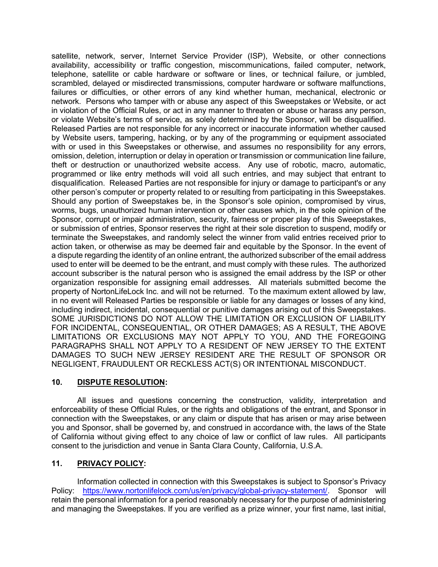satellite, network, server, Internet Service Provider (ISP), Website, or other connections availability, accessibility or traffic congestion, miscommunications, failed computer, network, telephone, satellite or cable hardware or software or lines, or technical failure, or jumbled, scrambled, delayed or misdirected transmissions, computer hardware or software malfunctions, failures or difficulties, or other errors of any kind whether human, mechanical, electronic or network. Persons who tamper with or abuse any aspect of this Sweepstakes or Website, or act in violation of the Official Rules, or act in any manner to threaten or abuse or harass any person, or violate Website's terms of service, as solely determined by the Sponsor, will be disqualified. Released Parties are not responsible for any incorrect or inaccurate information whether caused by Website users, tampering, hacking, or by any of the programming or equipment associated with or used in this Sweepstakes or otherwise, and assumes no responsibility for any errors, omission, deletion, interruption or delay in operation or transmission or communication line failure, theft or destruction or unauthorized website access. Any use of robotic, macro, automatic, programmed or like entry methods will void all such entries, and may subject that entrant to disqualification. Released Parties are not responsible for injury or damage to participant's or any other person's computer or property related to or resulting from participating in this Sweepstakes. Should any portion of Sweepstakes be, in the Sponsor's sole opinion, compromised by virus, worms, bugs, unauthorized human intervention or other causes which, in the sole opinion of the Sponsor, corrupt or impair administration, security, fairness or proper play of this Sweepstakes, or submission of entries, Sponsor reserves the right at their sole discretion to suspend, modify or terminate the Sweepstakes, and randomly select the winner from valid entries received prior to action taken, or otherwise as may be deemed fair and equitable by the Sponsor. In the event of a dispute regarding the identity of an online entrant, the authorized subscriber of the email address used to enter will be deemed to be the entrant, and must comply with these rules. The authorized account subscriber is the natural person who is assigned the email address by the ISP or other organization responsible for assigning email addresses. All materials submitted become the property of NortonLifeLock Inc. and will not be returned. To the maximum extent allowed by law, in no event will Released Parties be responsible or liable for any damages or losses of any kind, including indirect, incidental, consequential or punitive damages arising out of this Sweepstakes. SOME JURISDICTIONS DO NOT ALLOW THE LIMITATION OR EXCLUSION OF LIABILITY FOR INCIDENTAL, CONSEQUENTIAL, OR OTHER DAMAGES; AS A RESULT, THE ABOVE LIMITATIONS OR EXCLUSIONS MAY NOT APPLY TO YOU, AND THE FOREGOING PARAGRAPHS SHALL NOT APPLY TO A RESIDENT OF NEW JERSEY TO THE EXTENT DAMAGES TO SUCH NEW JERSEY RESIDENT ARE THE RESULT OF SPONSOR OR NEGLIGENT, FRAUDULENT OR RECKLESS ACT(S) OR INTENTIONAL MISCONDUCT.

## 10. DISPUTE RESOLUTION:

All issues and questions concerning the construction, validity, interpretation and enforceability of these Official Rules, or the rights and obligations of the entrant, and Sponsor in connection with the Sweepstakes, or any claim or dispute that has arisen or may arise between you and Sponsor, shall be governed by, and construed in accordance with, the laws of the State of California without giving effect to any choice of law or conflict of law rules. All participants consent to the jurisdiction and venue in Santa Clara County, California, U.S.A.

## 11. PRIVACY POLICY:

Information collected in connection with this Sweepstakes is subject to Sponsor's Privacy Policy: https://www.nortonlifelock.com/us/en/privacy/global-privacy-statement/. Sponsor will retain the personal information for a period reasonably necessary for the purpose of administering and managing the Sweepstakes. If you are verified as a prize winner, your first name, last initial,